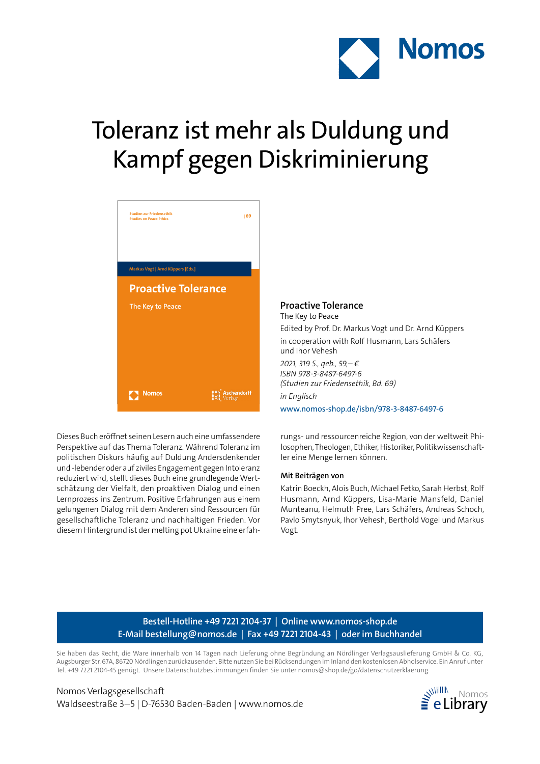

# Toleranz ist mehr als Duldung und Kampf gegen Diskriminierung



Dieses Buch eröffnet seinen Lesern auch eine umfassendere Perspektive auf das Thema Toleranz. Während Toleranz im politischen Diskurs häufig auf Duldung Andersdenkender und -lebender oder auf ziviles Engagement gegen Intoleranz reduziert wird, stellt dieses Buch eine grundlegende Wertschätzung der Vielfalt, den proaktiven Dialog und einen Lernprozess ins Zentrum. Positive Erfahrungen aus einem gelungenen Dialog mit dem Anderen sind Ressourcen für gesellschaftliche Toleranz und nachhaltigen Frieden. Vor diesem Hintergrund ist der melting pot Ukraine eine erfah-

**Proactive Tolerance** The Key to Peace Edited by Prof. Dr. Markus Vogt und Dr. Arnd Küppers in cooperation with Rolf Husmann, Lars Schäfers und Ihor Vehesh *2021, 319 S., geb., 59,– € ISBN 978-3-8487-6497-6 (Studien zur Friedensethik, Bd. 69) in Englisch* www.nomos-shop.de/isbn/978-3-8487-6497-6

rungs- und ressourcenreiche Region, von der weltweit Philosophen, Theologen, Ethiker, Historiker, Politikwissenschaftler eine Menge lernen können.

#### **Mit Beiträgen von**

Katrin Boeckh, Alois Buch, Michael Fetko, Sarah Herbst, Rolf Husmann, Arnd Küppers, Lisa-Marie Mansfeld, Daniel Munteanu, Helmuth Pree, Lars Schäfers, Andreas Schoch, Pavlo Smytsnyuk, Ihor Vehesh, Berthold Vogel und Markus Vogt.

## **Bestell-Hotline +49 7221 2104-37 | Online www.nomos-shop.de E-Mail bestellung@nomos.de | Fax +49 7221 2104-43 | oder im Buchhandel**

Sie haben das Recht, die Ware innerhalb von 14 Tagen nach Lieferung ohne Begründung an Nördlinger Verlagsauslieferung GmbH & Co. KG, Augsburger Str. 67A, 86720 Nördlingen zurückzusenden. Bitte nutzen Sie bei Rücksendungen im Inland den kostenlosen Abholservice. Ein Anruf unter Tel. +49 7221 2104-45 genügt. Unsere Datenschutzbestimmungen finden Sie unter nomos@shop.de/go/datenschutzerklaerung.

Nomos Verlagsgesellschaft Waldseestraße 3–5 | D-76530 Baden-Baden | www.nomos.de  $\geq$  eLibrary